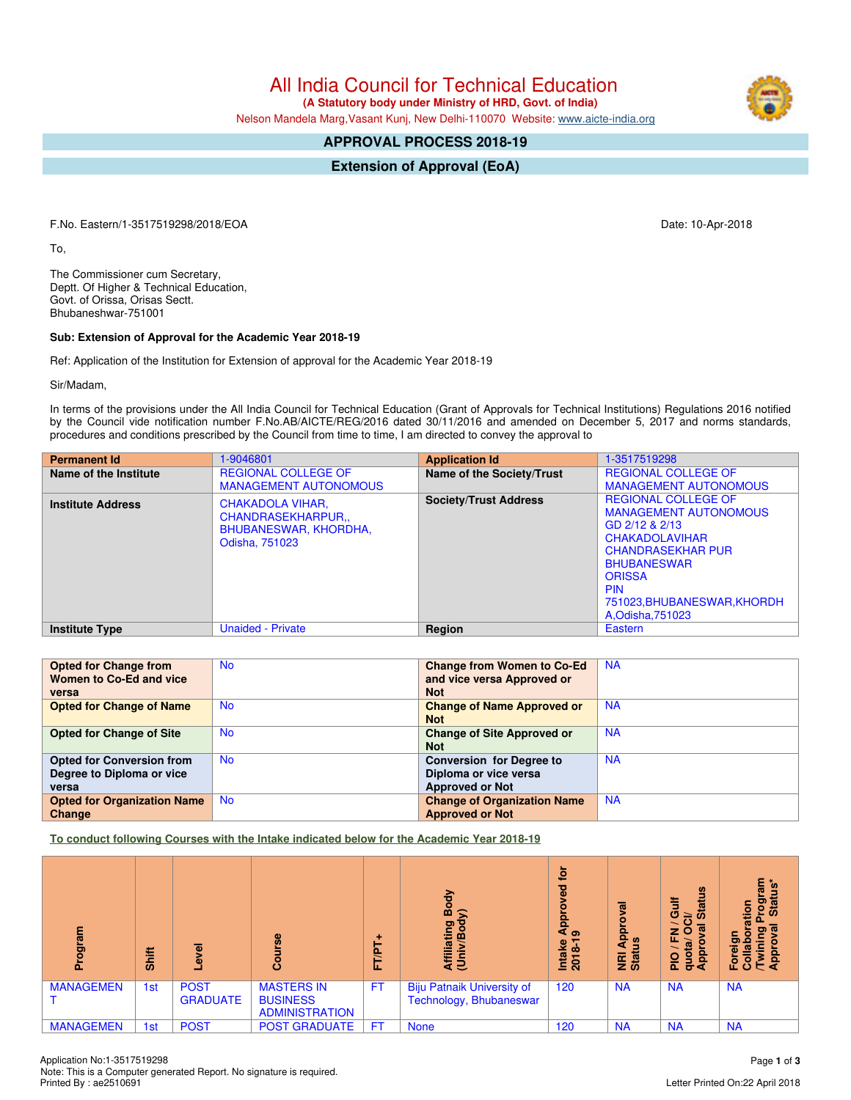All India Council for Technical Education

 **(A Statutory body under Ministry of HRD, Govt. of India)**

Nelson Mandela Marg,Vasant Kunj, New Delhi-110070 Website: [www.aicte-india.org](http://www.aicte-india.org)

## **APPROVAL PROCESS 2018-19**

**Extension of Approval (EoA)**

F.No. Eastern/1-3517519298/2018/EOA Date: 10-Apr-2018

To,

The Commissioner cum Secretary, Deptt. Of Higher & Technical Education, Govt. of Orissa, Orisas Sectt. Bhubaneshwar-751001

## **Sub: Extension of Approval for the Academic Year 2018-19**

Ref: Application of the Institution for Extension of approval for the Academic Year 2018-19

Sir/Madam,

In terms of the provisions under the All India Council for Technical Education (Grant of Approvals for Technical Institutions) Regulations 2016 notified by the Council vide notification number F.No.AB/AICTE/REG/2016 dated 30/11/2016 and amended on December 5, 2017 and norms standards, procedures and conditions prescribed by the Council from time to time, I am directed to convey the approval to

| <b>Permanent Id</b>      | 1-9046801                                                                                     | <b>Application Id</b>        | 1-3517519298                                                                                                                                                                                                                               |
|--------------------------|-----------------------------------------------------------------------------------------------|------------------------------|--------------------------------------------------------------------------------------------------------------------------------------------------------------------------------------------------------------------------------------------|
| Name of the Institute    | <b>REGIONAL COLLEGE OF</b><br><b>MANAGEMENT AUTONOMOUS</b>                                    | Name of the Society/Trust    | <b>REGIONAL COLLEGE OF</b><br><b>MANAGEMENT AUTONOMOUS</b>                                                                                                                                                                                 |
| <b>Institute Address</b> | <b>CHAKADOLA VIHAR.</b><br><b>CHANDRASEKHARPUR</b><br>BHUBANESWAR, KHORDHA,<br>Odisha, 751023 | <b>Society/Trust Address</b> | <b>REGIONAL COLLEGE OF</b><br><b>MANAGEMENT AUTONOMOUS</b><br>GD 2/12 & 2/13<br><b>CHAKADOLAVIHAR</b><br><b>CHANDRASEKHAR PUR</b><br><b>BHUBANESWAR</b><br><b>ORISSA</b><br><b>PIN</b><br>751023, BHUBANESWAR, KHORDH<br>A, Odisha, 751023 |
| <b>Institute Type</b>    | <b>Unaided - Private</b>                                                                      | Region                       | Eastern                                                                                                                                                                                                                                    |

| <b>Opted for Change from</b>       | <b>No</b> | <b>Change from Women to Co-Ed</b>  | <b>NA</b> |
|------------------------------------|-----------|------------------------------------|-----------|
| Women to Co-Ed and vice            |           | and vice versa Approved or         |           |
| versa                              |           | <b>Not</b>                         |           |
| <b>Opted for Change of Name</b>    | <b>No</b> | <b>Change of Name Approved or</b>  | <b>NA</b> |
|                                    |           | <b>Not</b>                         |           |
| <b>Opted for Change of Site</b>    | <b>No</b> | <b>Change of Site Approved or</b>  | <b>NA</b> |
|                                    |           | <b>Not</b>                         |           |
| <b>Opted for Conversion from</b>   | <b>No</b> | <b>Conversion for Degree to</b>    | <b>NA</b> |
| Degree to Diploma or vice          |           | Diploma or vice versa              |           |
| versa                              |           | <b>Approved or Not</b>             |           |
| <b>Opted for Organization Name</b> | <b>No</b> | <b>Change of Organization Name</b> | <b>NA</b> |
| Change                             |           | <b>Approved or Not</b>             |           |

**To conduct following Courses with the Intake indicated below for the Academic Year 2018-19**

| Program          | Shift | $\overline{\mathbf{a}}$<br>٥   | 8                                                             | <b>FT/P</b> | Body<br>$\hat{ }$<br>Affiliating<br>(Univ/Bod <sup>)</sup>   | <u>iot</u><br>ᄝ<br>$\frac{1}{4}$<br>Intake<br>2018-1 | $\sigma$<br>윤<br><b>NRI Ap<br/>Status</b> | <b>Status</b><br>Gulf<br>ಕ<br>é,<br>O<br>z<br>u.<br><b>Appro</b><br>œ<br>g<br><b>DId</b><br>ਠ | mie<br>$\mathbf{S}$<br><u>ipol</u><br>ation<br>Star<br>ূত<br>ဥ<br>ō<br>ರಾ<br>Forei<br>Colla<br>App<br>Twi |
|------------------|-------|--------------------------------|---------------------------------------------------------------|-------------|--------------------------------------------------------------|------------------------------------------------------|-------------------------------------------|-----------------------------------------------------------------------------------------------|-----------------------------------------------------------------------------------------------------------|
| <b>MANAGEMEN</b> | 1st   | <b>POST</b><br><b>GRADUATE</b> | <b>MASTERS IN</b><br><b>BUSINESS</b><br><b>ADMINISTRATION</b> | <b>FT</b>   | <b>Biju Patnaik University of</b><br>Technology, Bhubaneswar | 120                                                  | <b>NA</b>                                 | <b>NA</b>                                                                                     | <b>NA</b>                                                                                                 |
| <b>MANAGEMEN</b> | 1st   | <b>POST</b>                    | <b>POST GRADUATE</b>                                          | <b>FT</b>   | <b>None</b>                                                  | 120                                                  | <b>NA</b>                                 | <b>NA</b>                                                                                     | <b>NA</b>                                                                                                 |

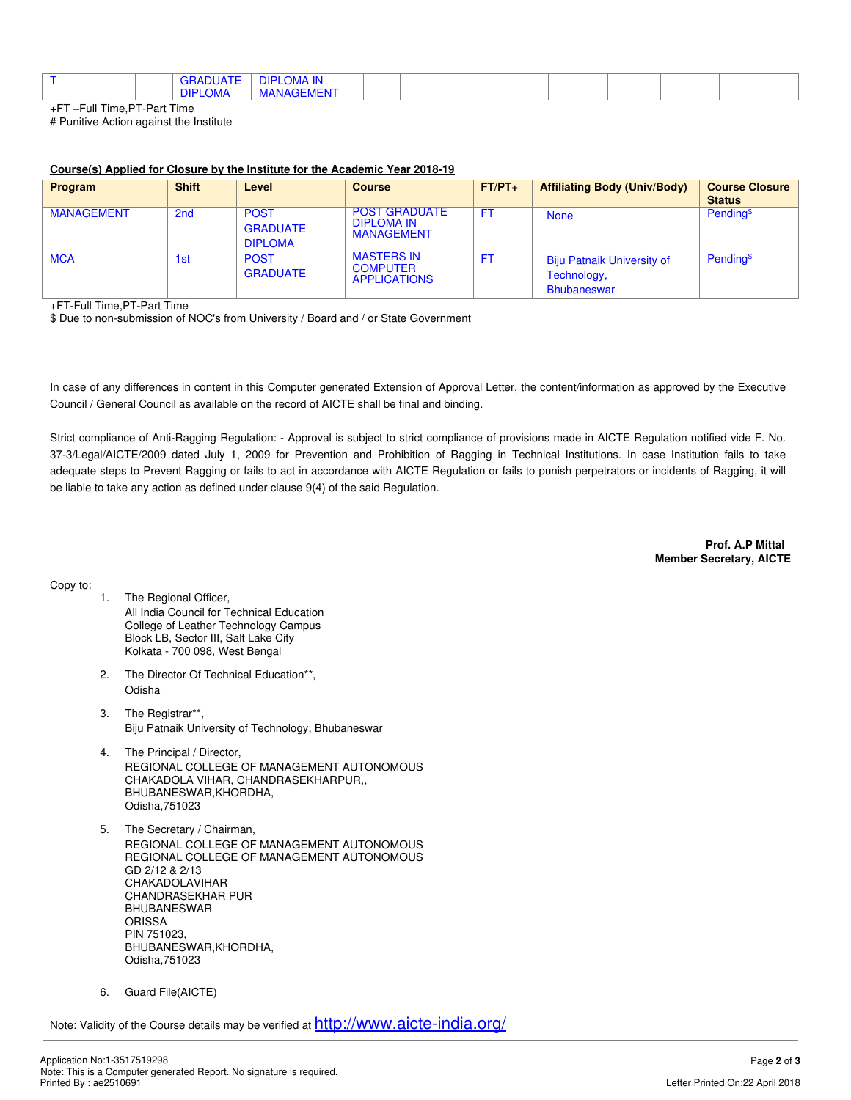|  | <b>DIPLO</b> | $\left\{ \left( \left( \mathbf{a}^{\mathsf{T}}\right) \mathbf{a}^{\mathsf{T}}\right) \mathbf{a}^{\mathsf{T}}\right\} \right\}$<br><b>SKADUAIE</b><br><b>LOMA</b> | <b>DIDI OLIA ILI</b><br>''⊣ال<br>.oma in<br>$1 - 1 - 1$<br>MANAGEMEN |  |  |  |  |  |  |
|--|--------------|------------------------------------------------------------------------------------------------------------------------------------------------------------------|----------------------------------------------------------------------|--|--|--|--|--|--|
|--|--------------|------------------------------------------------------------------------------------------------------------------------------------------------------------------|----------------------------------------------------------------------|--|--|--|--|--|--|

+FT –Full Time,PT-Part Time # Punitive Action against the Institute

## **Course(s) Applied for Closure by the Institute for the Academic Year 2018-19**

| <b>Program</b>    | <b>Shift</b>    | Level                                            | <b>Course</b>                                                  | $FT/PT+$  | <b>Affiliating Body (Univ/Body)</b>                                    | <b>Course Closure</b><br><b>Status</b> |
|-------------------|-----------------|--------------------------------------------------|----------------------------------------------------------------|-----------|------------------------------------------------------------------------|----------------------------------------|
| <b>MANAGEMENT</b> | 2 <sub>nd</sub> | <b>POST</b><br><b>GRADUATE</b><br><b>DIPLOMA</b> | <b>POST GRADUATE</b><br><b>DIPLOMA IN</b><br><b>MANAGEMENT</b> | <b>FT</b> | <b>None</b>                                                            | Pending <sup>\$</sup>                  |
| <b>MCA</b>        | 1st             | <b>POST</b><br><b>GRADUATE</b>                   | <b>MASTERS IN</b><br><b>COMPUTER</b><br><b>APPLICATIONS</b>    | <b>FT</b> | <b>Biju Patnaik University of</b><br>Technology,<br><b>Bhubaneswar</b> | Pending <sup>\$</sup>                  |

+FT-Full Time,PT-Part Time

\$ Due to non-submission of NOC's from University / Board and / or State Government

In case of any differences in content in this Computer generated Extension of Approval Letter, the content/information as approved by the Executive Council / General Council as available on the record of AICTE shall be final and binding.

Strict compliance of Anti-Ragging Regulation: - Approval is subject to strict compliance of provisions made in AICTE Regulation notified vide F. No. 37-3/Legal/AICTE/2009 dated July 1, 2009 for Prevention and Prohibition of Ragging in Technical Institutions. In case Institution fails to take adequate steps to Prevent Ragging or fails to act in accordance with AICTE Regulation or fails to punish perpetrators or incidents of Ragging, it will be liable to take any action as defined under clause 9(4) of the said Regulation.

> **Prof. A.P Mittal Member Secretary, AICTE**

Copy to:

- 1. The Regional Officer, All India Council for Technical Education College of Leather Technology Campus Block LB, Sector III, Salt Lake City Kolkata - 700 098, West Bengal
- 2. The Director Of Technical Education\*\*, Odisha
- 3. The Registrar\*\*, Biju Patnaik University of Technology, Bhubaneswar
- 4. The Principal / Director, REGIONAL COLLEGE OF MANAGEMENT AUTONOMOUS CHAKADOLA VIHAR, CHANDRASEKHARPUR,, BHUBANESWAR,KHORDHA, Odisha,751023
- 5. The Secretary / Chairman, REGIONAL COLLEGE OF MANAGEMENT AUTONOMOUS REGIONAL COLLEGE OF MANAGEMENT AUTONOMOUS GD 2/12 & 2/13 CHAKADOLAVIHAR CHANDRASEKHAR PUR BHUBANESWAR **ORISSA** PIN 751023, BHUBANESWAR,KHORDHA, Odisha,751023
- 6. Guard File(AICTE)

Note: Validity of the Course details may be verified at <http://www.aicte-india.org/>